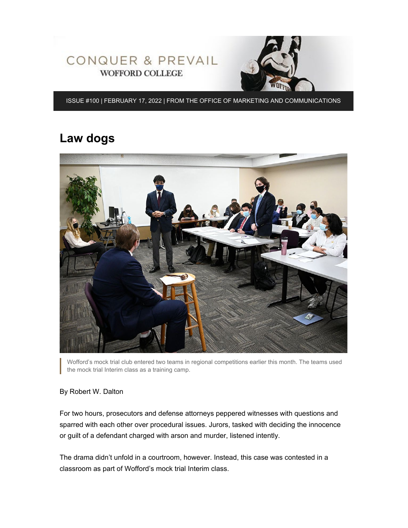



ISSUE #100 | FEBRUARY 17, 2022 | FROM THE OFFICE OF MARKETING AND COMMUNICATIONS

## **Law dogs**



Wofford's mock trial club entered two teams in regional competitions earlier this month. The teams used the mock trial Interim class as a training camp.

#### By Robert W. Dalton

For two hours, prosecutors and defense attorneys peppered witnesses with questions and sparred with each other over procedural issues. Jurors, tasked with deciding the innocence or guilt of a defendant charged with arson and murder, listened intently.

The drama didn't unfold in a courtroom, however. Instead, this case was contested in a classroom as part of Wofford's mock trial Interim class.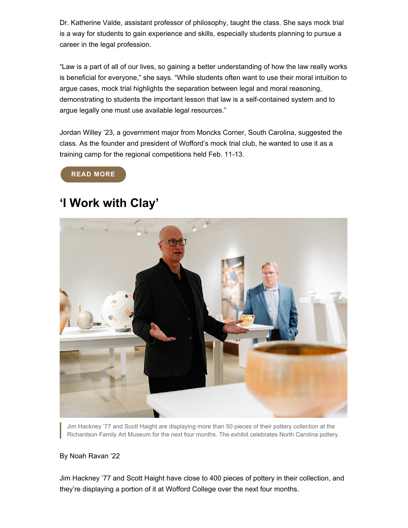Dr. Katherine Valde, assistant professor of philosophy, taught the class. She says mock trial is a way for students to gain experience and skills, especially students planning to pursue a career in the legal profession.

"Law is a part of all of our lives, so gaining a better understanding of how the law really works is beneficial for everyone," she says. "While students often want to use their moral intuition to argue cases, mock trial highlights the separation between legal and moral reasoning, demonstrating to students the important lesson that law is a self-contained system and to argue legally one must use available legal resources."

Jordan Willey '23, a government major from Moncks Corner, South Carolina, suggested the class. As the founder and president of Wofford's mock trial club, he wanted to use it as a training camp for the regional competitions held Feb. 11-13.

**[READ MORE](https://www.wofford.edu/about/news/news-archives/2022/law-dogs)**

## **'I Work with Clay'**



Jim Hackney '77 and Scott Haight are displaying more than 50 pieces of their pottery collection at the Richardson Family Art Museum for the next four months. The exhibit celebrates North Carolina pottery.

#### By Noah Ravan '22

Jim Hackney '77 and Scott Haight have close to 400 pieces of pottery in their collection, and they're displaying a portion of it at Wofford College over the next four months.